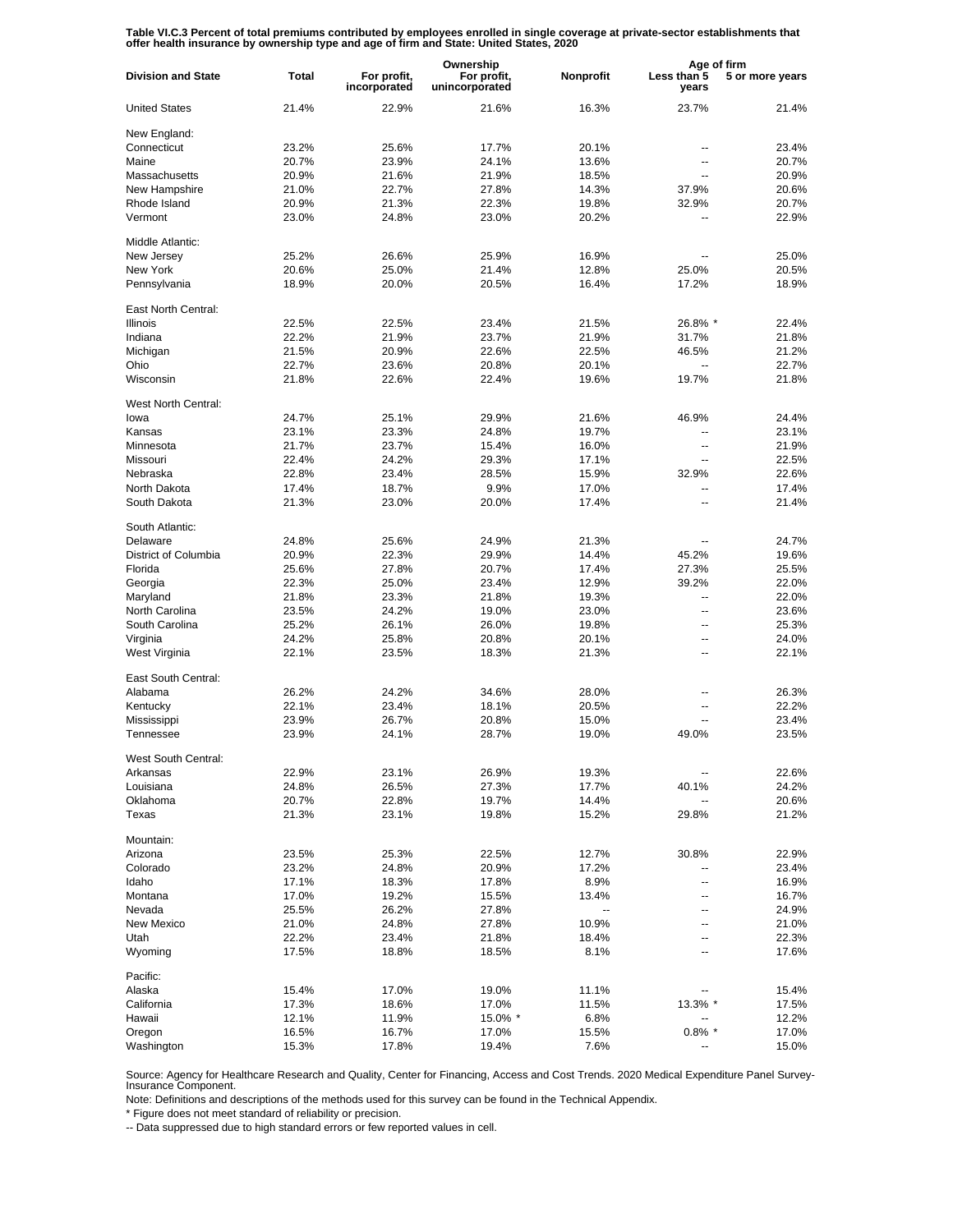Table VI.C.3 Percent of total premiums contributed by employees enrolled in single coverage at private-sector establishments that<br>offer health insurance by ownership type and age of firm and State: United States, 2020

|                           |              |                             | Ownership                     |           | Age of firm          |                 |
|---------------------------|--------------|-----------------------------|-------------------------------|-----------|----------------------|-----------------|
| <b>Division and State</b> | <b>Total</b> | For profit,<br>incorporated | For profit,<br>unincorporated | Nonprofit | Less than 5<br>years | 5 or more years |
| <b>United States</b>      | 21.4%        | 22.9%                       | 21.6%                         | 16.3%     | 23.7%                | 21.4%           |
| New England:              |              |                             |                               |           |                      |                 |
| Connecticut               | 23.2%        | 25.6%                       | 17.7%                         | 20.1%     | --                   | 23.4%           |
| Maine                     | 20.7%        | 23.9%                       | 24.1%                         | 13.6%     | --                   | 20.7%           |
| Massachusetts             | 20.9%        | 21.6%                       | 21.9%                         | 18.5%     | $\overline{a}$       | 20.9%           |
| New Hampshire             | 21.0%        | 22.7%                       | 27.8%                         | 14.3%     | 37.9%                | 20.6%           |
|                           |              |                             |                               |           |                      |                 |
| Rhode Island              | 20.9%        | 21.3%                       | 22.3%                         | 19.8%     | 32.9%                | 20.7%           |
| Vermont                   | 23.0%        | 24.8%                       | 23.0%                         | 20.2%     |                      | 22.9%           |
| Middle Atlantic:          |              |                             |                               |           |                      |                 |
| New Jersey                | 25.2%        | 26.6%                       | 25.9%                         | 16.9%     |                      | 25.0%           |
| New York                  | 20.6%        | 25.0%                       | 21.4%                         | 12.8%     | 25.0%                | 20.5%           |
| Pennsylvania              | 18.9%        | 20.0%                       | 20.5%                         | 16.4%     | 17.2%                | 18.9%           |
| East North Central:       |              |                             |                               |           |                      |                 |
| <b>Illinois</b>           | 22.5%        | 22.5%                       | 23.4%                         | 21.5%     | 26.8% *              | 22.4%           |
|                           |              |                             |                               |           |                      |                 |
| Indiana                   | 22.2%        | 21.9%                       | 23.7%                         | 21.9%     | 31.7%                | 21.8%           |
| Michigan                  | 21.5%        | 20.9%                       | 22.6%                         | 22.5%     | 46.5%                | 21.2%           |
| Ohio                      | 22.7%        | 23.6%                       | 20.8%                         | 20.1%     | ۵.                   | 22.7%           |
| Wisconsin                 | 21.8%        | 22.6%                       | 22.4%                         | 19.6%     | 19.7%                | 21.8%           |
| West North Central:       |              |                             |                               |           |                      |                 |
| lowa                      | 24.7%        | 25.1%                       | 29.9%                         | 21.6%     | 46.9%                | 24.4%           |
| Kansas                    | 23.1%        | 23.3%                       | 24.8%                         | 19.7%     | --                   | 23.1%           |
| Minnesota                 | 21.7%        | 23.7%                       | 15.4%                         | 16.0%     | $\overline{a}$       | 21.9%           |
|                           |              |                             |                               |           |                      |                 |
| Missouri                  | 22.4%        | 24.2%                       | 29.3%                         | 17.1%     | $\overline{a}$       | 22.5%           |
| Nebraska                  | 22.8%        | 23.4%                       | 28.5%                         | 15.9%     | 32.9%                | 22.6%           |
| North Dakota              | 17.4%        | 18.7%                       | 9.9%                          | 17.0%     | $\overline{a}$       | 17.4%           |
| South Dakota              | 21.3%        | 23.0%                       | 20.0%                         | 17.4%     | --                   | 21.4%           |
| South Atlantic:           |              |                             |                               |           |                      |                 |
| Delaware                  | 24.8%        | 25.6%                       | 24.9%                         | 21.3%     | --                   | 24.7%           |
| District of Columbia      | 20.9%        | 22.3%                       | 29.9%                         | 14.4%     | 45.2%                | 19.6%           |
| Florida                   | 25.6%        | 27.8%                       | 20.7%                         | 17.4%     | 27.3%                | 25.5%           |
| Georgia                   | 22.3%        | 25.0%                       | 23.4%                         | 12.9%     | 39.2%                | 22.0%           |
| Maryland                  | 21.8%        | 23.3%                       | 21.8%                         | 19.3%     | --                   | 22.0%           |
| North Carolina            | 23.5%        | 24.2%                       | 19.0%                         | 23.0%     | $\overline{a}$       | 23.6%           |
|                           |              |                             |                               |           |                      |                 |
| South Carolina            | 25.2%        | 26.1%                       | 26.0%                         | 19.8%     | $\overline{a}$       | 25.3%           |
| Virginia                  | 24.2%        | 25.8%                       | 20.8%                         | 20.1%     | --                   | 24.0%           |
| West Virginia             | 22.1%        | 23.5%                       | 18.3%                         | 21.3%     | $\overline{a}$       | 22.1%           |
| East South Central:       |              |                             |                               |           |                      |                 |
| Alabama                   | 26.2%        | 24.2%                       | 34.6%                         | 28.0%     | ۵.                   | 26.3%           |
| Kentucky                  | 22.1%        | 23.4%                       | 18.1%                         | 20.5%     | ۵.                   | 22.2%           |
| Mississippi               | 23.9%        | 26.7%                       | 20.8%                         | 15.0%     | ۵.                   | 23.4%           |
| Tennessee                 | 23.9%        | 24.1%                       | 28.7%                         | 19.0%     | 49.0%                | 23.5%           |
|                           |              |                             |                               |           |                      |                 |
| West South Central:       |              |                             |                               |           |                      |                 |
| Arkansas                  | 22.9%        | 23.1%                       | 26.9%                         | 19.3%     |                      | 22.6%           |
| Louisiana                 | 24.8%        | 26.5%                       | 27.3%                         | 17.7%     | 40.1%                | 24.2%           |
| Oklahoma                  | 20.7%        | 22.8%                       | 19.7%                         | 14.4%     |                      | 20.6%           |
| Texas                     | 21.3%        | 23.1%                       | 19.8%                         | 15.2%     | 29.8%                | 21.2%           |
| Mountain:                 |              |                             |                               |           |                      |                 |
| Arizona                   | 23.5%        | 25.3%                       | 22.5%                         | 12.7%     | 30.8%                | 22.9%           |
| Colorado                  | 23.2%        | 24.8%                       | 20.9%                         | 17.2%     | --                   | 23.4%           |
| Idaho                     | 17.1%        | 18.3%                       | 17.8%                         | 8.9%      | --                   | 16.9%           |
| Montana                   | 17.0%        | 19.2%                       | 15.5%                         |           | --                   | 16.7%           |
|                           |              |                             |                               | 13.4%     |                      |                 |
| Nevada                    | 25.5%        | 26.2%                       | 27.8%                         | $\ddotsc$ | --                   | 24.9%           |
| New Mexico                | 21.0%        | 24.8%                       | 27.8%                         | 10.9%     | --                   | 21.0%           |
| Utah                      | 22.2%        | 23.4%                       | 21.8%                         | 18.4%     | --                   | 22.3%           |
| Wyoming                   | 17.5%        | 18.8%                       | 18.5%                         | 8.1%      | --                   | 17.6%           |
| Pacific:                  |              |                             |                               |           |                      |                 |
| Alaska                    | 15.4%        | 17.0%                       | 19.0%                         | 11.1%     |                      | 15.4%           |
| California                | 17.3%        | 18.6%                       | 17.0%                         | 11.5%     | 13.3% *              | 17.5%           |
| Hawaii                    | 12.1%        | 11.9%                       | $15.0\%$ *                    | 6.8%      | --                   | 12.2%           |
| Oregon                    | 16.5%        | 16.7%                       | 17.0%                         | 15.5%     | $0.8\%$ *            | 17.0%           |
| Washington                | 15.3%        | 17.8%                       | 19.4%                         | 7.6%      |                      | 15.0%           |

Source: Agency for Healthcare Research and Quality, Center for Financing, Access and Cost Trends. 2020 Medical Expenditure Panel Survey-Insurance Component.

Note: Definitions and descriptions of the methods used for this survey can be found in the Technical Appendix.

\* Figure does not meet standard of reliability or precision.

-- Data suppressed due to high standard errors or few reported values in cell.